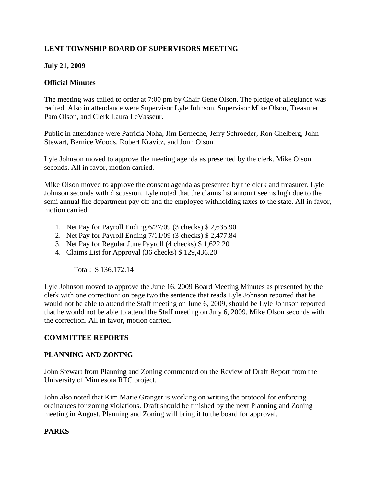## **LENT TOWNSHIP BOARD OF SUPERVISORS MEETING**

## **July 21, 2009**

#### **Official Minutes**

The meeting was called to order at 7:00 pm by Chair Gene Olson. The pledge of allegiance was recited. Also in attendance were Supervisor Lyle Johnson, Supervisor Mike Olson, Treasurer Pam Olson, and Clerk Laura LeVasseur.

Public in attendance were Patricia Noha, Jim Berneche, Jerry Schroeder, Ron Chelberg, John Stewart, Bernice Woods, Robert Kravitz, and Jonn Olson.

Lyle Johnson moved to approve the meeting agenda as presented by the clerk. Mike Olson seconds. All in favor, motion carried.

Mike Olson moved to approve the consent agenda as presented by the clerk and treasurer. Lyle Johnson seconds with discussion. Lyle noted that the claims list amount seems high due to the semi annual fire department pay off and the employee withholding taxes to the state. All in favor, motion carried.

- 1. Net Pay for Payroll Ending 6/27/09 (3 checks) \$ 2,635.90
- 2. Net Pay for Payroll Ending 7/11/09 (3 checks) \$ 2,477.84
- 3. Net Pay for Regular June Payroll (4 checks) \$ 1,622.20
- 4. Claims List for Approval (36 checks) \$ 129,436.20

Total: \$ 136,172.14

Lyle Johnson moved to approve the June 16, 2009 Board Meeting Minutes as presented by the clerk with one correction: on page two the sentence that reads Lyle Johnson reported that he would not be able to attend the Staff meeting on June 6, 2009, should be Lyle Johnson reported that he would not be able to attend the Staff meeting on July 6, 2009. Mike Olson seconds with the correction. All in favor, motion carried.

## **COMMITTEE REPORTS**

#### **PLANNING AND ZONING**

John Stewart from Planning and Zoning commented on the Review of Draft Report from the University of Minnesota RTC project.

John also noted that Kim Marie Granger is working on writing the protocol for enforcing ordinances for zoning violations. Draft should be finished by the next Planning and Zoning meeting in August. Planning and Zoning will bring it to the board for approval.

## **PARKS**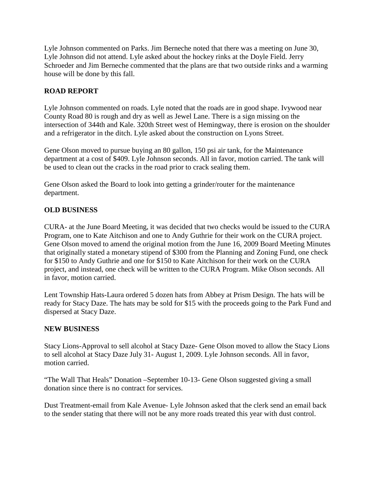Lyle Johnson commented on Parks. Jim Berneche noted that there was a meeting on June 30, Lyle Johnson did not attend. Lyle asked about the hockey rinks at the Doyle Field. Jerry Schroeder and Jim Berneche commented that the plans are that two outside rinks and a warming house will be done by this fall.

## **ROAD REPORT**

Lyle Johnson commented on roads. Lyle noted that the roads are in good shape. Ivywood near County Road 80 is rough and dry as well as Jewel Lane. There is a sign missing on the intersection of 344th and Kale. 320th Street west of Hemingway, there is erosion on the shoulder and a refrigerator in the ditch. Lyle asked about the construction on Lyons Street.

Gene Olson moved to pursue buying an 80 gallon, 150 psi air tank, for the Maintenance department at a cost of \$409. Lyle Johnson seconds. All in favor, motion carried. The tank will be used to clean out the cracks in the road prior to crack sealing them.

Gene Olson asked the Board to look into getting a grinder/router for the maintenance department.

#### **OLD BUSINESS**

CURA- at the June Board Meeting, it was decided that two checks would be issued to the CURA Program, one to Kate Aitchison and one to Andy Guthrie for their work on the CURA project. Gene Olson moved to amend the original motion from the June 16, 2009 Board Meeting Minutes that originally stated a monetary stipend of \$300 from the Planning and Zoning Fund, one check for \$150 to Andy Guthrie and one for \$150 to Kate Aitchison for their work on the CURA project, and instead, one check will be written to the CURA Program. Mike Olson seconds. All in favor, motion carried.

Lent Township Hats-Laura ordered 5 dozen hats from Abbey at Prism Design. The hats will be ready for Stacy Daze. The hats may be sold for \$15 with the proceeds going to the Park Fund and dispersed at Stacy Daze.

## **NEW BUSINESS**

Stacy Lions-Approval to sell alcohol at Stacy Daze- Gene Olson moved to allow the Stacy Lions to sell alcohol at Stacy Daze July 31- August 1, 2009. Lyle Johnson seconds. All in favor, motion carried.

"The Wall That Heals" Donation –September 10-13- Gene Olson suggested giving a small donation since there is no contract for services.

Dust Treatment-email from Kale Avenue- Lyle Johnson asked that the clerk send an email back to the sender stating that there will not be any more roads treated this year with dust control.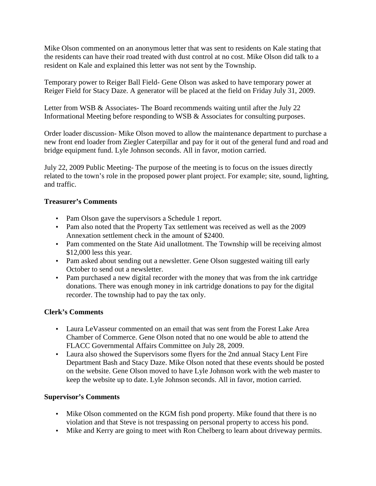Mike Olson commented on an anonymous letter that was sent to residents on Kale stating that the residents can have their road treated with dust control at no cost. Mike Olson did talk to a resident on Kale and explained this letter was not sent by the Township.

Temporary power to Reiger Ball Field- Gene Olson was asked to have temporary power at Reiger Field for Stacy Daze. A generator will be placed at the field on Friday July 31, 2009.

Letter from WSB & Associates- The Board recommends waiting until after the July 22 Informational Meeting before responding to WSB & Associates for consulting purposes.

Order loader discussion- Mike Olson moved to allow the maintenance department to purchase a new front end loader from Ziegler Caterpillar and pay for it out of the general fund and road and bridge equipment fund. Lyle Johnson seconds. All in favor, motion carried.

July 22, 2009 Public Meeting- The purpose of the meeting is to focus on the issues directly related to the town's role in the proposed power plant project. For example; site, sound, lighting, and traffic.

## **Treasurer's Comments**

- Pam Olson gave the supervisors a Schedule 1 report.
- Pam also noted that the Property Tax settlement was received as well as the 2009 Annexation settlement check in the amount of \$2400.
- Pam commented on the State Aid unallotment. The Township will be receiving almost \$12,000 less this year.
- Pam asked about sending out a newsletter. Gene Olson suggested waiting till early October to send out a newsletter.
- Pam purchased a new digital recorder with the money that was from the ink cartridge donations. There was enough money in ink cartridge donations to pay for the digital recorder. The township had to pay the tax only.

# **Clerk's Comments**

- Laura LeVasseur commented on an email that was sent from the Forest Lake Area Chamber of Commerce. Gene Olson noted that no one would be able to attend the FLACC Governmental Affairs Committee on July 28, 2009.
- Laura also showed the Supervisors some flyers for the 2nd annual Stacy Lent Fire Department Bash and Stacy Daze. Mike Olson noted that these events should be posted on the website. Gene Olson moved to have Lyle Johnson work with the web master to keep the website up to date. Lyle Johnson seconds. All in favor, motion carried.

## **Supervisor's Comments**

- Mike Olson commented on the KGM fish pond property. Mike found that there is no violation and that Steve is not trespassing on personal property to access his pond.
- Mike and Kerry are going to meet with Ron Chelberg to learn about driveway permits.